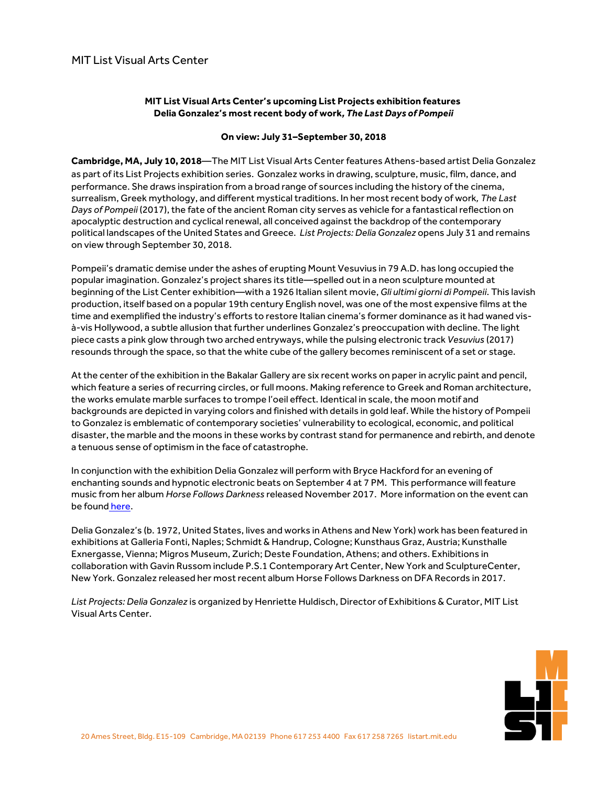## **MIT List Visual Arts Center's upcoming List Projects exhibition features Delia Gonzalez's most recent body of work***, The Last Days of Pompeii*

## **On view: July 31–September 30, 2018**

**Cambridge, MA, July 10, 2018**—The MIT List Visual Arts Center features Athens-based artist Delia Gonzalez as part of its List Projects exhibition series. Gonzalez works in drawing, sculpture, music, film, dance, and performance. She draws inspiration from a broad range of sources including the history ofthe cinema, surrealism, Greek mythology, and different mystical traditions. In her most recent body of work. The Last Days of Pompeii (2017), the fate of the ancient Roman city serves as vehicle for a fantastical reflection on apocalyptic destruction and cyclical renewal, all conceived against the backdrop of the contemporary political landscapes ofthe United States and Greece. *List Projects: Delia Gonzalez* opens July 31 and remains on view through September 30, 2018.

Pompeii's dramatic demise under the ashes of erupting Mount Vesuvius in 79 A.D. has long occupied the popular imagination. Gonzalez's project shares its title—spelled outin a neon sculpture mounted at beginning ofthe List Center exhibition—with a 1926 Italian silent movie, *Gli ultimi giorni di Pompeii*. This lavish production, itself based on a popular 19th century English novel, was one ofthe most expensive films at the time and exemplified the industry's efforts to restore Italian cinema's former dominance as it had waned visà-vis Hollywood, a subtle allusion that further underlines Gonzalez's preoccupation with decline. The light piece casts a pink glow through two arched entryways, while the pulsing electronic track *Vesuvius* (2017) resounds through the space, so that the white cube of the gallery becomes reminiscent of a set or stage.

Atthe center ofthe exhibition in the Bakalar Gallery are six recent works on paper in acrylic paint and pencil, which feature a series of recurring circles, or full moons. Making reference to Greek and Roman architecture, the works emulate marble surfaces to trompe l'oeil effect. Identical in scale, the moon motif and backgrounds are depicted in varying colors and finished with details in gold leaf. While the history of Pompeii to Gonzalez is emblematic of contemporary societies' vulnerability to ecological, economic, and political disaster,the marble and the moons in these works by contrast stand for permanence and rebirth, and denote a tenuous sense of optimism in the face of catastrophe.

In conjunction with the exhibition Delia Gonzalez will perform with Bryce Hackford for an evening of enchanting sounds and hypnotic electronic beats on September 4 at 7 PM. This performance will feature music from her album *Horse Follows Darkness* released November 2017. More information on the event can be found [here.](https://listart.mit.edu/exhibitions/list-projects-delia-gonzalez) 

Delia Gonzalez's (b. 1972, United States, lives and works in Athens and New York) work has been featured in exhibitions at Galleria Fonti, Naples; Schmidt & Handrup, Cologne; Kunsthaus Graz, Austria; Kunsthalle Exnergasse, Vienna; Migros Museum, Zurich; Deste Foundation, Athens; and others. Exhibitions in collaboration with Gavin Russom include P.S.1 Contemporary Art Center, New York and SculptureCenter, New York. Gonzalez released her mostrecent album Horse Follows Darkness on DFA Records in 2017.

*List Projects: Delia Gonzalez* is organized by Henriette Huldisch, Director of Exhibitions & Curator, MIT List Visual Arts Center.